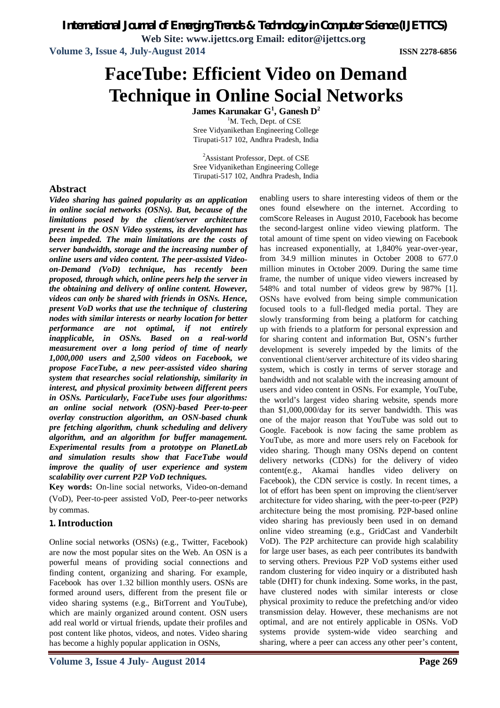*International Journal of Emerging Trends & Technology in Computer Science (IJETTCS)*

**Web Site: www.ijettcs.org Email: editor@ijettcs.org Volume 3, Issue 4, July-August 2014 ISSN 2278-6856**

# **FaceTube: Efficient Video on Demand Technique in Online Social Networks**

**James Karunakar G<sup>1</sup> , Ganesh D<sup>2</sup>** <sup>1</sup>M. Tech, Dept. of CSE Sree Vidyanikethan Engineering College Tirupati-517 102, Andhra Pradesh, India

<sup>2</sup>Assistant Professor, Dept. of CSE Sree Vidyanikethan Engineering College Tirupati-517 102, Andhra Pradesh, India

# **Abstract**

*Video sharing has gained popularity as an application in online social networks (OSNs). But, because of the limitations posed by the client/server architecture present in the OSN Video systems, its development has been impeded. The main limitations are the costs of server bandwidth, storage and the increasing number of online users and video content. The peer-assisted Videoon-Demand (VoD) technique, has recently been proposed, through which, online peers help the server in the obtaining and delivery of online content. However, videos can only be shared with friends in OSNs. Hence, present VoD works that use the technique of clustering nodes with similar interests or nearby location for better performance are not optimal, if not entirely inapplicable, in OSNs. Based on a real-world measurement over a long period of time of nearly 1,000,000 users and 2,500 videos on Facebook, we propose FaceTube, a new peer-assisted video sharing system that researches social relationship, similarity in interest, and physical proximity between different peers in OSNs. Particularly, FaceTube uses four algorithms: an online social network (OSN)-based Peer-to-peer overlay construction algorithm, an OSN-based chunk pre fetching algorithm, chunk scheduling and delivery algorithm, and an algorithm for buffer management. Experimental results from a prototype on PlanetLab and simulation results show that FaceTube would improve the quality of user experience and system scalability over current P2P VoD techniques.*

**Key words:** On-line social networks, Video-on-demand (VoD), Peer-to-peer assisted VoD, Peer-to-peer networks by commas.

# **1. Introduction**

Online social networks (OSNs) (e.g., Twitter, Facebook) are now the most popular sites on the Web. An OSN is a powerful means of providing social connections and finding content, organizing and sharing. For example, Facebook has over 1.32 billion monthly users. OSNs are formed around users, different from the present file or video sharing systems (e.g., BitTorrent and YouTube), which are mainly organized around content. OSN users add real world or virtual friends, update their profiles and post content like photos, videos, and notes. Video sharing has become a highly popular application in OSNs,

enabling users to share interesting videos of them or the ones found elsewhere on the internet. According to comScore Releases in August 2010, Facebook has become the second-largest online video viewing platform. The total amount of time spent on video viewing on Facebook has increased exponentially, at 1,840% year-over-year, from 34.9 million minutes in October 2008 to 677.0 million minutes in October 2009. During the same time frame, the number of unique video viewers increased by 548% and total number of videos grew by 987% [1]. OSNs have evolved from being simple communication focused tools to a full-fledged media portal. They are slowly transforming from being a platform for catching up with friends to a platform for personal expression and for sharing content and information But, OSN's further development is severely impeded by the limits of the conventional client/server architecture of its video sharing system, which is costly in terms of server storage and bandwidth and not scalable with the increasing amount of users and video content in OSNs. For example, YouTube, the world's largest video sharing website, spends more than \$1,000,000/day for its server bandwidth. This was one of the major reason that YouTube was sold out to Google. Facebook is now facing the same problem as YouTube, as more and more users rely on Facebook for video sharing. Though many OSNs depend on content delivery networks (CDNs) for the delivery of video content(e.g., Akamai handles video delivery on Facebook), the CDN service is costly. In recent times, a lot of effort has been spent on improving the client/server architecture for video sharing, with the peer-to-peer (P2P) architecture being the most promising. P2P-based online video sharing has previously been used in on demand online video streaming (e.g., GridCast and Vanderbilt VoD). The P2P architecture can provide high scalability for large user bases, as each peer contributes its bandwith to serving others. Previous P2P VoD systems either used random clustering for video inquiry or a distributed hash table (DHT) for chunk indexing. Some works, in the past, have clustered nodes with similar interests or close physical proximity to reduce the prefetching and/or video transmission delay. However, these mechanisms are not optimal, and are not entirely applicable in OSNs. VoD systems provide system-wide video searching and sharing, where a peer can access any other peer's content,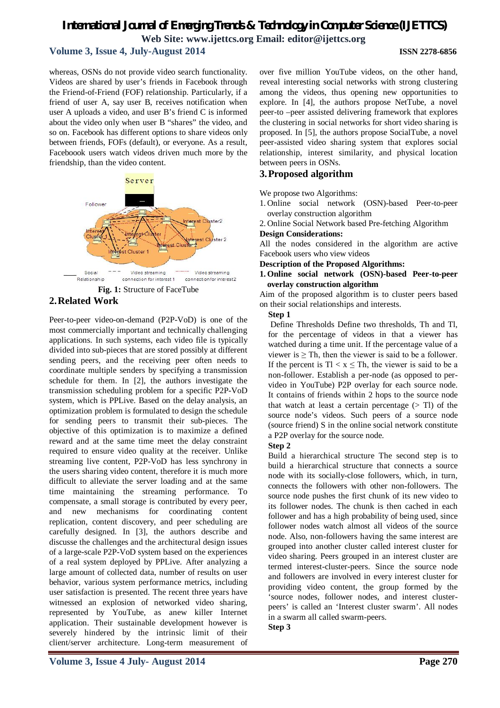# *International Journal of Emerging Trends & Technology in Computer Science (IJETTCS)* **Web Site: www.ijettcs.org Email: editor@ijettcs.org Volume 3, Issue 4, July-August 2014 ISSN 2278-6856**

whereas, OSNs do not provide video search functionality. Videos are shared by user's friends in Facebook through the Friend-of-Friend (FOF) relationship. Particularly, if a friend of user A, say user B, receives notification when user A uploads a video, and user B's friend C is informed about the video only when user B "shares" the video, and so on. Facebook has different options to share videos only between friends, FOFs (default), or everyone. As a result, Faceboook users watch videos driven much more by the friendship, than the video content.



# **2.Related Work**

Peer-to-peer video-on-demand (P2P-VoD) is one of the most commercially important and technically challenging applications. In such systems, each video file is typically divided into sub-pieces that are stored possibly at different sending peers, and the receiving peer often needs to coordinate multiple senders by specifying a transmission schedule for them. In [2], the authors investigate the transmission scheduling problem for a specific P2P-VoD system, which is PPLive. Based on the delay analysis, an optimization problem is formulated to design the schedule for sending peers to transmit their sub-pieces. The objective of this optimization is to maximize a defined reward and at the same time meet the delay constraint required to ensure video quality at the receiver. Unlike streaming live content, P2P-VoD has less synchrony in the users sharing video content, therefore it is much more difficult to alleviate the server loading and at the same time maintaining the streaming performance. To compensate, a small storage is contributed by every peer, and new mechanisms for coordinating content replication, content discovery, and peer scheduling are carefully designed. In [3], the authors describe and discusse the challenges and the architectural design issues of a large-scale P2P-VoD system based on the experiences of a real system deployed by PPLive. After analyzing a large amount of collected data, number of results on user behavior, various system performance metrics, including user satisfaction is presented. The recent three years have witnessed an explosion of networked video sharing, represented by YouTube, as anew killer Internet application. Their sustainable development however is severely hindered by the intrinsic limit of their client/server architecture. Long-term measurement of over five million YouTube videos, on the other hand, reveal interesting social networks with strong clustering among the videos, thus opening new opportunities to explore. In [4], the authors propose NetTube, a novel peer-to –peer assisted delivering framework that explores the clustering in social networks for short video sharing is proposed. In [5], the authors propose SocialTube, a novel peer-assisted video sharing system that explores social relationship, interest similarity, and physical location between peers in OSNs.

# **3.Proposed algorithm**

We propose two Algorithms:

- 1. Online social network (OSN)-based Peer-to-peer overlay construction algorithm
- 2. Online Social Network based Pre-fetching Algorithm

#### **Design Considerations:**

All the nodes considered in the algorithm are active Facebook users who view videos

- **Description of the Proposed Algorithms:**
- **1.Online social network (OSN)-based Peer-to-peer overlay construction algorithm**

Aim of the proposed algorithm is to cluster peers based on their social relationships and interests.

#### **Step 1**

Define Thresholds Define two thresholds, Th and Tl, for the percentage of videos in that a viewer has watched during a time unit. If the percentage value of a viewer is  $\geq$  Th, then the viewer is said to be a follower. If the percent is  $T < x \leq T$ h, the viewer is said to be a non-follower. Establish a per-node (as opposed to pervideo in YouTube) P2P overlay for each source node. It contains of friends within 2 hops to the source node that watch at least a certain percentage  $($   $>$  Tl) of the source node's videos. Such peers of a source node (source friend) S in the online social network constitute a P2P overlay for the source node.

## **Step 2**

Build a hierarchical structure The second step is to build a hierarchical structure that connects a source node with its socially-close followers, which, in turn, connects the followers with other non-followers. The source node pushes the first chunk of its new video to its follower nodes. The chunk is then cached in each follower and has a high probability of being used, since follower nodes watch almost all videos of the source node. Also, non-followers having the same interest are grouped into another cluster called interest cluster for video sharing. Peers grouped in an interest cluster are termed interest-cluster-peers. Since the source node and followers are involved in every interest cluster for providing video content, the group formed by the 'source nodes, follower nodes, and interest clusterpeers' is called an 'Interest cluster swarm'. All nodes in a swarm all called swarm-peers. **Step 3**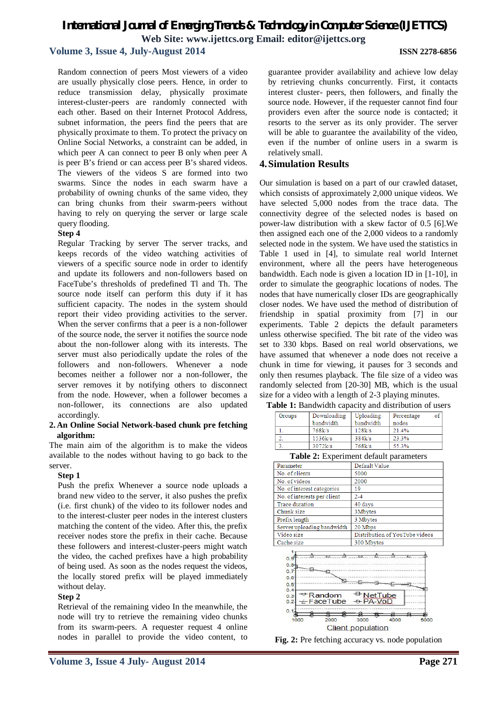# *International Journal of Emerging Trends & Technology in Computer Science (IJETTCS)* **Web Site: www.ijettcs.org Email: editor@ijettcs.org**

# **Volume 3, Issue 4, July-August 2014 ISSN 2278-6856**

Random connection of peers Most viewers of a video are usually physically close peers. Hence, in order to reduce transmission delay, physically proximate interest-cluster-peers are randomly connected with each other. Based on their Internet Protocol Address, subnet information, the peers find the peers that are physically proximate to them. To protect the privacy on Online Social Networks, a constraint can be added, in which peer A can connect to peer B only when peer A is peer B's friend or can access peer B's shared videos. The viewers of the videos S are formed into two swarms. Since the nodes in each swarm have a probability of owning chunks of the same video, they can bring chunks from their swarm-peers without having to rely on querying the server or large scale query flooding.

## **Step 4**

Regular Tracking by server The server tracks, and keeps records of the video watching activities of viewers of a specific source node in order to identify and update its followers and non-followers based on FaceTube's thresholds of predefined Tl and Th. The source node itself can perform this duty if it has sufficient capacity. The nodes in the system should report their video providing activities to the server. When the server confirms that a peer is a non-follower of the source node, the server it notifies the source node about the non-follower along with its interests. The server must also periodically update the roles of the followers and non-followers. Whenever a node becomes neither a follower nor a non-follower, the server removes it by notifying others to disconnect from the node. However, when a follower becomes a non-follower, its connections are also updated accordingly.

#### **2. An Online Social Network-based chunk pre fetching algorithm:**

The main aim of the algorithm is to make the videos available to the nodes without having to go back to the server.

## **Step 1**

Push the prefix Whenever a source node uploads a brand new video to the server, it also pushes the prefix (i.e. first chunk) of the video to its follower nodes and to the interest-cluster peer nodes in the interest clusters matching the content of the video. After this, the prefix receiver nodes store the prefix in their cache. Because these followers and interest-cluster-peers might watch the video, the cached prefixes have a high probability of being used. As soon as the nodes request the videos, the locally stored prefix will be played immediately without delay.

#### **Step 2**

Retrieval of the remaining video In the meanwhile, the node will try to retrieve the remaining video chunks from its swarm-peers. A requester request 4 online nodes in parallel to provide the video content, to

guarantee provider availability and achieve low delay by retrieving chunks concurrently. First, it contacts interest cluster- peers, then followers, and finally the source node. However, if the requester cannot find four providers even after the source node is contacted; it resorts to the server as its only provider. The server will be able to guarantee the availability of the video, even if the number of online users in a swarm is relatively small.

# **4.Simulation Results**

Our simulation is based on a part of our crawled dataset, which consists of approximately 2,000 unique videos. We have selected 5,000 nodes from the trace data. The connectivity degree of the selected nodes is based on power-law distribution with a skew factor of 0.5 [6].We then assigned each one of the 2,000 videos to a randomly selected node in the system. We have used the statistics in Table 1 used in [4], to simulate real world Internet environment, where all the peers have heterogeneous bandwidth. Each node is given a location ID in [1-10], in order to simulate the geographic locations of nodes. The nodes that have numerically closer IDs are geographically closer nodes. We have used the method of distribution of friendship in spatial proximity from [7] in our experiments. Table 2 depicts the default parameters unless otherwise specified. The bit rate of the video was set to 330 kbps. Based on real world observations, we have assumed that whenever a node does not receive a chunk in time for viewing, it pauses for 3 seconds and only then resumes playback. The file size of a video was randomly selected from [20-30] MB, which is the usual size for a video with a length of 2-3 playing minutes.

**Table 1:** Bandwidth capacity and distribution of users

| Groups | Downloading | Uploading | Percentage | οf |
|--------|-------------|-----------|------------|----|
|        | bandwidth   | bandwidth | nodes      |    |
|        | 768k/s      | 128k/s    | 21.4%      |    |
|        | 1536k/s     | 384k/s    | 23.3%      |    |
|        | 3072k/s     | 768k/s    | 55.3%      |    |

**Table 2:** Experiment default parameters

| <b>rapid 2.</b> Experiment defiant parameters |                                |  |  |
|-----------------------------------------------|--------------------------------|--|--|
| Parameter                                     | Default Value                  |  |  |
| No. of clients                                | 5000                           |  |  |
| No. of videos                                 | 2000                           |  |  |
| No. of interest categories                    | 19                             |  |  |
| No. of interests per client                   | $2 - 4$                        |  |  |
| Trace duration                                | 40 days                        |  |  |
| Chunk size                                    | 3Mbytes                        |  |  |
| Prefix length                                 | 3 Mbytes                       |  |  |
| Server uploading bandwidth                    | 20 Mbps                        |  |  |
| Video size                                    | Distribution of YouTube videos |  |  |
| Cache size                                    | 300 Mbytes                     |  |  |
|                                               |                                |  |  |



**Fig. 2:** Pre fetching accuracy vs. node population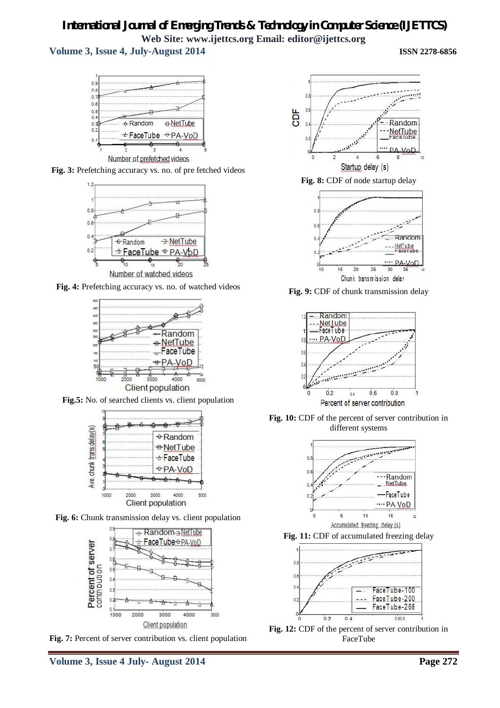# *International Journal of Emerging Trends & Technology in Computer Science (IJETTCS)* **Web Site: www.ijettcs.org Email: editor@ijettcs.org**

**Volume 3, Issue 4, July-August 2014 ISSN 2278-6856**



**Fig. 3:** Prefetching accuracy vs. no. of pre fetched videos



**Fig. 4:** Prefetching accuracy vs. no. of watched videos



**Fig.5:** No. of searched clients vs. client population



**Fig. 6:** Chunk transmission delay vs. client population



**Fig. 7:** Percent of server contribution vs. client population



**Fig. 8:** CDF of node startup delay



**Fig. 9:** CDF of chunk transmission delay



**Fig. 10:** CDF of the percent of server contribution in different systems



**Fig. 11:** CDF of accumulated freezing delay